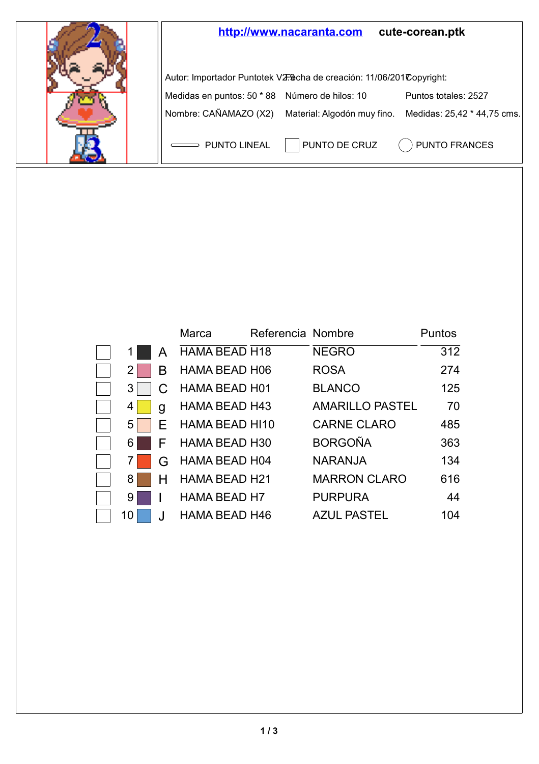

|        | Marca                | Referencia Nombre |                        | Puntos |
|--------|----------------------|-------------------|------------------------|--------|
| А      | HAMA BEAD H18        |                   | <b>NEGRO</b>           | 312    |
| 2<br>R | HAMA BEAD H06        |                   | <b>ROSA</b>            | 274    |
| 3      | <b>HAMA BEAD H01</b> |                   | <b>BLANCO</b>          | 125    |
| 4<br>q | HAMA BEAD H43        |                   | <b>AMARILLO PASTEL</b> | 70     |
| 5      | HAMA BEAD HI10       |                   | <b>CARNE CLARO</b>     | 485    |
| 6.     | <b>HAMA BEAD H30</b> |                   | <b>BORGOÑA</b>         | 363    |
| G      | <b>HAMA BEAD H04</b> |                   | <b>NARANJA</b>         | 134    |
| 8      | HAMA BEAD H21        |                   | <b>MARRON CLARO</b>    | 616    |
| 9      | <b>HAMA BEAD H7</b>  |                   | <b>PURPURA</b>         | 44     |
| 10     | <b>HAMA BEAD H46</b> |                   | <b>AZUL PASTEL</b>     | 104    |

Ē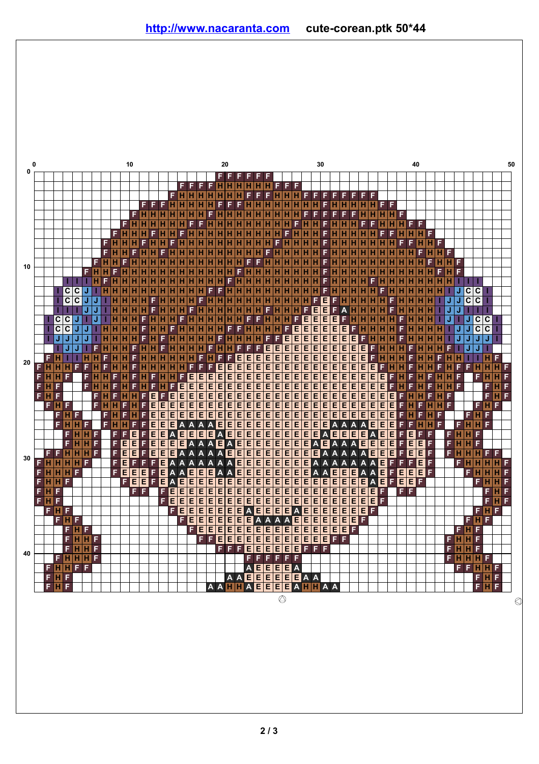